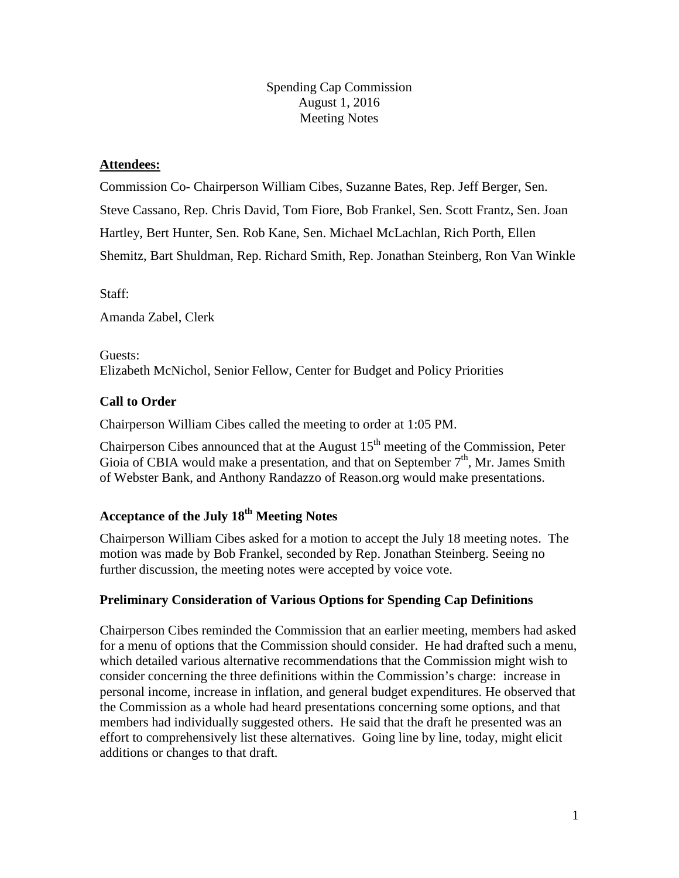#### Spending Cap Commission August 1, 2016 Meeting Notes

### **Attendees:**

Commission Co- Chairperson William Cibes, Suzanne Bates, Rep. Jeff Berger, Sen. Steve Cassano, Rep. Chris David, Tom Fiore, Bob Frankel, Sen. Scott Frantz, Sen. Joan Hartley, Bert Hunter, Sen. Rob Kane, Sen. Michael McLachlan, Rich Porth, Ellen Shemitz, Bart Shuldman, Rep. Richard Smith, Rep. Jonathan Steinberg, Ron Van Winkle

Staff:

Amanda Zabel, Clerk

Guests: Elizabeth McNichol, Senior Fellow, Center for Budget and Policy Priorities

# **Call to Order**

Chairperson William Cibes called the meeting to order at 1:05 PM.

Chairperson Cibes announced that at the August  $15<sup>th</sup>$  meeting of the Commission, Peter Gioia of CBIA would make a presentation, and that on September  $7<sup>th</sup>$ , Mr. James Smith of Webster Bank, and Anthony Randazzo of Reason.org would make presentations.

# **Acceptance of the July 18th Meeting Notes**

Chairperson William Cibes asked for a motion to accept the July 18 meeting notes. The motion was made by Bob Frankel, seconded by Rep. Jonathan Steinberg. Seeing no further discussion, the meeting notes were accepted by voice vote.

# **Preliminary Consideration of Various Options for Spending Cap Definitions**

Chairperson Cibes reminded the Commission that an earlier meeting, members had asked for a menu of options that the Commission should consider. He had drafted such a menu, which detailed various alternative recommendations that the Commission might wish to consider concerning the three definitions within the Commission's charge: increase in personal income, increase in inflation, and general budget expenditures. He observed that the Commission as a whole had heard presentations concerning some options, and that members had individually suggested others. He said that the draft he presented was an effort to comprehensively list these alternatives. Going line by line, today, might elicit additions or changes to that draft.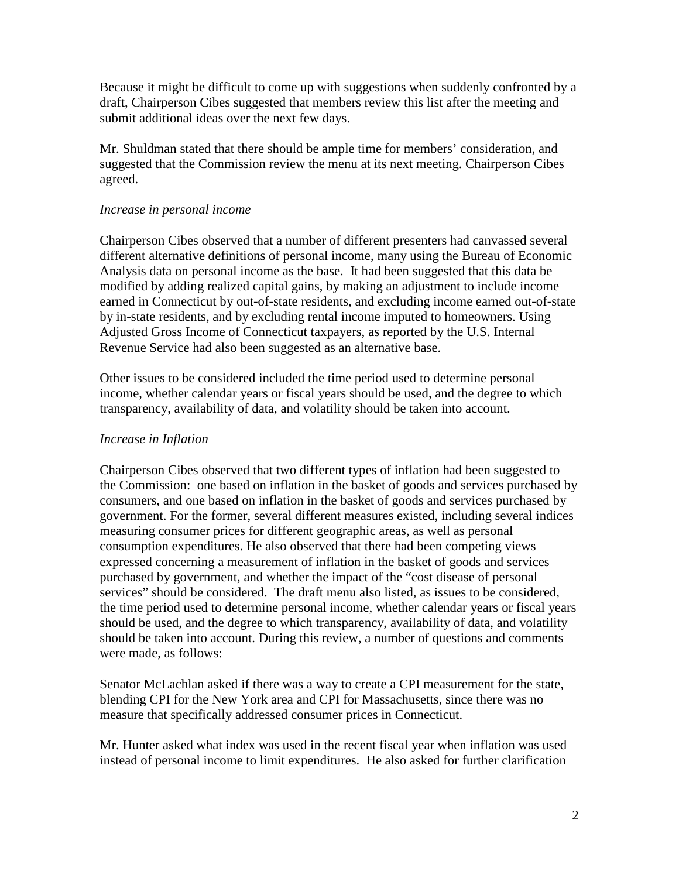Because it might be difficult to come up with suggestions when suddenly confronted by a draft, Chairperson Cibes suggested that members review this list after the meeting and submit additional ideas over the next few days.

Mr. Shuldman stated that there should be ample time for members' consideration, and suggested that the Commission review the menu at its next meeting. Chairperson Cibes agreed.

#### *Increase in personal income*

Chairperson Cibes observed that a number of different presenters had canvassed several different alternative definitions of personal income, many using the Bureau of Economic Analysis data on personal income as the base. It had been suggested that this data be modified by adding realized capital gains, by making an adjustment to include income earned in Connecticut by out-of-state residents, and excluding income earned out-of-state by in-state residents, and by excluding rental income imputed to homeowners. Using Adjusted Gross Income of Connecticut taxpayers, as reported by the U.S. Internal Revenue Service had also been suggested as an alternative base.

Other issues to be considered included the time period used to determine personal income, whether calendar years or fiscal years should be used, and the degree to which transparency, availability of data, and volatility should be taken into account.

#### *Increase in Inflation*

Chairperson Cibes observed that two different types of inflation had been suggested to the Commission: one based on inflation in the basket of goods and services purchased by consumers, and one based on inflation in the basket of goods and services purchased by government. For the former, several different measures existed, including several indices measuring consumer prices for different geographic areas, as well as personal consumption expenditures. He also observed that there had been competing views expressed concerning a measurement of inflation in the basket of goods and services purchased by government, and whether the impact of the "cost disease of personal services" should be considered. The draft menu also listed, as issues to be considered, the time period used to determine personal income, whether calendar years or fiscal years should be used, and the degree to which transparency, availability of data, and volatility should be taken into account. During this review, a number of questions and comments were made, as follows:

Senator McLachlan asked if there was a way to create a CPI measurement for the state, blending CPI for the New York area and CPI for Massachusetts, since there was no measure that specifically addressed consumer prices in Connecticut.

Mr. Hunter asked what index was used in the recent fiscal year when inflation was used instead of personal income to limit expenditures. He also asked for further clarification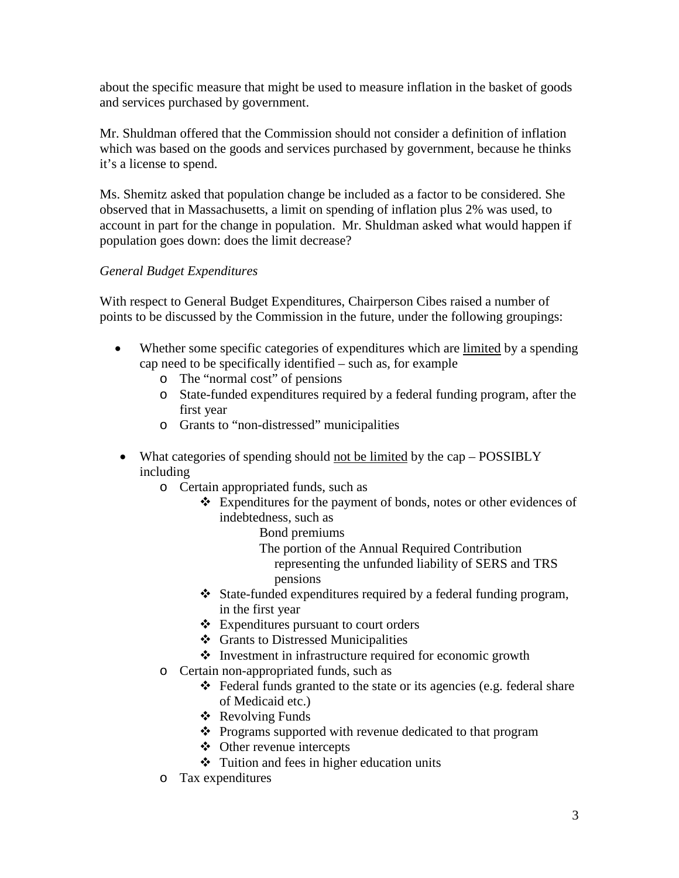about the specific measure that might be used to measure inflation in the basket of goods and services purchased by government.

Mr. Shuldman offered that the Commission should not consider a definition of inflation which was based on the goods and services purchased by government, because he thinks it's a license to spend.

Ms. Shemitz asked that population change be included as a factor to be considered. She observed that in Massachusetts, a limit on spending of inflation plus 2% was used, to account in part for the change in population. Mr. Shuldman asked what would happen if population goes down: does the limit decrease?

# *General Budget Expenditures*

With respect to General Budget Expenditures, Chairperson Cibes raised a number of points to be discussed by the Commission in the future, under the following groupings:

- Whether some specific categories of expenditures which are limited by a spending cap need to be specifically identified – such as, for example
	- o The "normal cost" of pensions
	- o State-funded expenditures required by a federal funding program, after the first year
	- o Grants to "non-distressed" municipalities
- What categories of spending should not be limited by the cap POSSIBLY including
	- o Certain appropriated funds, such as
		- Expenditures for the payment of bonds, notes or other evidences of indebtedness, such as
			- Bond premiums
			- The portion of the Annual Required Contribution representing the unfunded liability of SERS and TRS pensions
		- State-funded expenditures required by a federal funding program, in the first year
		- Expenditures pursuant to court orders
		- ❖ Grants to Distressed Municipalities
		- $\triangleleft$  Investment in infrastructure required for economic growth
	- o Certain non-appropriated funds, such as
		- Federal funds granted to the state or its agencies (e.g. federal share of Medicaid etc.)
		- Revolving Funds
		- Programs supported with revenue dedicated to that program
		- Other revenue intercepts
		- $\div$  Tuition and fees in higher education units
	- o Tax expenditures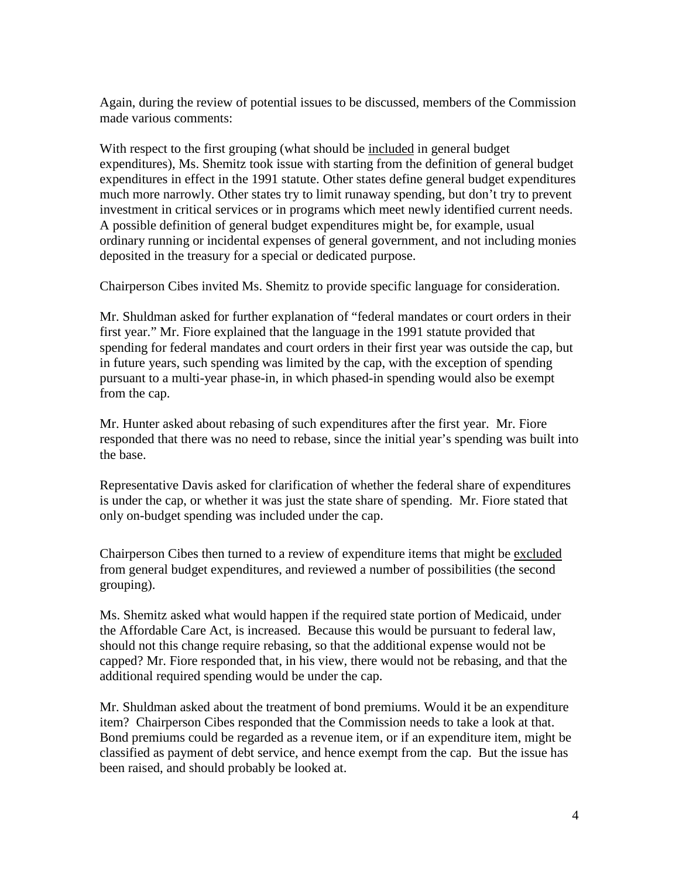Again, during the review of potential issues to be discussed, members of the Commission made various comments:

With respect to the first grouping (what should be included in general budget expenditures), Ms. Shemitz took issue with starting from the definition of general budget expenditures in effect in the 1991 statute. Other states define general budget expenditures much more narrowly. Other states try to limit runaway spending, but don't try to prevent investment in critical services or in programs which meet newly identified current needs. A possible definition of general budget expenditures might be, for example, usual ordinary running or incidental expenses of general government, and not including monies deposited in the treasury for a special or dedicated purpose.

Chairperson Cibes invited Ms. Shemitz to provide specific language for consideration.

Mr. Shuldman asked for further explanation of "federal mandates or court orders in their first year." Mr. Fiore explained that the language in the 1991 statute provided that spending for federal mandates and court orders in their first year was outside the cap, but in future years, such spending was limited by the cap, with the exception of spending pursuant to a multi-year phase-in, in which phased-in spending would also be exempt from the cap.

Mr. Hunter asked about rebasing of such expenditures after the first year. Mr. Fiore responded that there was no need to rebase, since the initial year's spending was built into the base.

Representative Davis asked for clarification of whether the federal share of expenditures is under the cap, or whether it was just the state share of spending. Mr. Fiore stated that only on-budget spending was included under the cap.

Chairperson Cibes then turned to a review of expenditure items that might be excluded from general budget expenditures, and reviewed a number of possibilities (the second grouping).

Ms. Shemitz asked what would happen if the required state portion of Medicaid, under the Affordable Care Act, is increased. Because this would be pursuant to federal law, should not this change require rebasing, so that the additional expense would not be capped? Mr. Fiore responded that, in his view, there would not be rebasing, and that the additional required spending would be under the cap.

Mr. Shuldman asked about the treatment of bond premiums. Would it be an expenditure item? Chairperson Cibes responded that the Commission needs to take a look at that. Bond premiums could be regarded as a revenue item, or if an expenditure item, might be classified as payment of debt service, and hence exempt from the cap. But the issue has been raised, and should probably be looked at.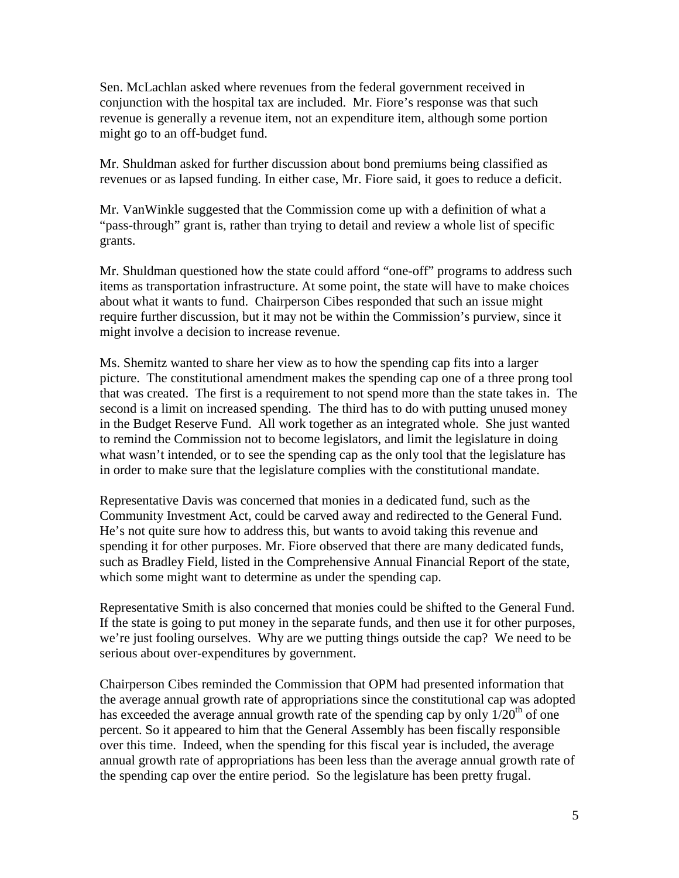Sen. McLachlan asked where revenues from the federal government received in conjunction with the hospital tax are included. Mr. Fiore's response was that such revenue is generally a revenue item, not an expenditure item, although some portion might go to an off-budget fund.

Mr. Shuldman asked for further discussion about bond premiums being classified as revenues or as lapsed funding. In either case, Mr. Fiore said, it goes to reduce a deficit.

Mr. VanWinkle suggested that the Commission come up with a definition of what a "pass-through" grant is, rather than trying to detail and review a whole list of specific grants.

Mr. Shuldman questioned how the state could afford "one-off" programs to address such items as transportation infrastructure. At some point, the state will have to make choices about what it wants to fund. Chairperson Cibes responded that such an issue might require further discussion, but it may not be within the Commission's purview, since it might involve a decision to increase revenue.

Ms. Shemitz wanted to share her view as to how the spending cap fits into a larger picture. The constitutional amendment makes the spending cap one of a three prong tool that was created. The first is a requirement to not spend more than the state takes in. The second is a limit on increased spending. The third has to do with putting unused money in the Budget Reserve Fund. All work together as an integrated whole. She just wanted to remind the Commission not to become legislators, and limit the legislature in doing what wasn't intended, or to see the spending cap as the only tool that the legislature has in order to make sure that the legislature complies with the constitutional mandate.

Representative Davis was concerned that monies in a dedicated fund, such as the Community Investment Act, could be carved away and redirected to the General Fund. He's not quite sure how to address this, but wants to avoid taking this revenue and spending it for other purposes. Mr. Fiore observed that there are many dedicated funds, such as Bradley Field, listed in the Comprehensive Annual Financial Report of the state, which some might want to determine as under the spending cap.

Representative Smith is also concerned that monies could be shifted to the General Fund. If the state is going to put money in the separate funds, and then use it for other purposes, we're just fooling ourselves. Why are we putting things outside the cap? We need to be serious about over-expenditures by government.

Chairperson Cibes reminded the Commission that OPM had presented information that the average annual growth rate of appropriations since the constitutional cap was adopted has exceeded the average annual growth rate of the spending cap by only  $1/20^{th}$  of one percent. So it appeared to him that the General Assembly has been fiscally responsible over this time. Indeed, when the spending for this fiscal year is included, the average annual growth rate of appropriations has been less than the average annual growth rate of the spending cap over the entire period. So the legislature has been pretty frugal.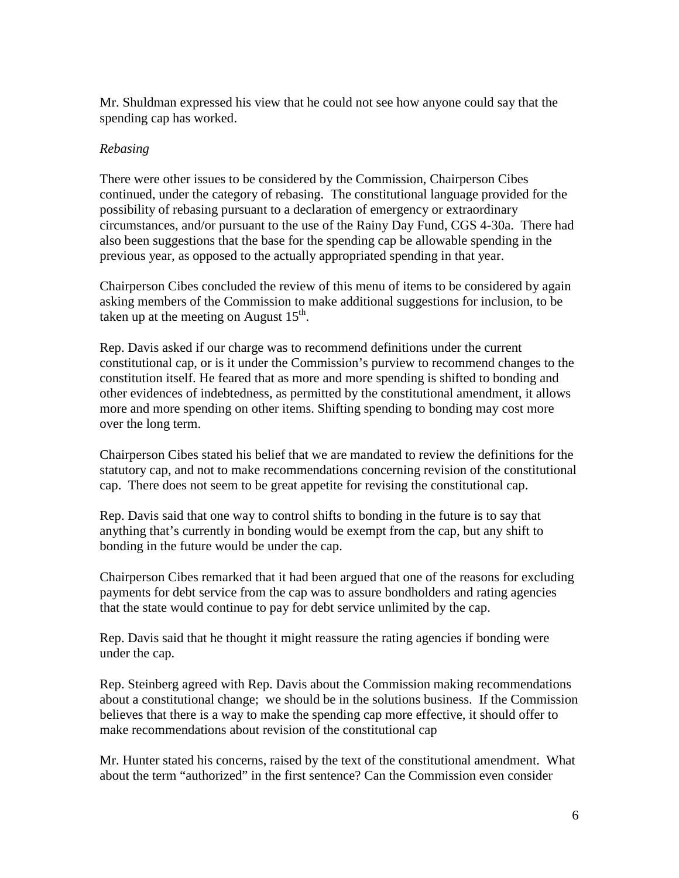Mr. Shuldman expressed his view that he could not see how anyone could say that the spending cap has worked.

#### *Rebasing*

There were other issues to be considered by the Commission, Chairperson Cibes continued, under the category of rebasing. The constitutional language provided for the possibility of rebasing pursuant to a declaration of emergency or extraordinary circumstances, and/or pursuant to the use of the Rainy Day Fund, CGS 4-30a. There had also been suggestions that the base for the spending cap be allowable spending in the previous year, as opposed to the actually appropriated spending in that year.

Chairperson Cibes concluded the review of this menu of items to be considered by again asking members of the Commission to make additional suggestions for inclusion, to be taken up at the meeting on August  $15<sup>th</sup>$ .

Rep. Davis asked if our charge was to recommend definitions under the current constitutional cap, or is it under the Commission's purview to recommend changes to the constitution itself. He feared that as more and more spending is shifted to bonding and other evidences of indebtedness, as permitted by the constitutional amendment, it allows more and more spending on other items. Shifting spending to bonding may cost more over the long term.

Chairperson Cibes stated his belief that we are mandated to review the definitions for the statutory cap, and not to make recommendations concerning revision of the constitutional cap. There does not seem to be great appetite for revising the constitutional cap.

Rep. Davis said that one way to control shifts to bonding in the future is to say that anything that's currently in bonding would be exempt from the cap, but any shift to bonding in the future would be under the cap.

Chairperson Cibes remarked that it had been argued that one of the reasons for excluding payments for debt service from the cap was to assure bondholders and rating agencies that the state would continue to pay for debt service unlimited by the cap.

Rep. Davis said that he thought it might reassure the rating agencies if bonding were under the cap.

Rep. Steinberg agreed with Rep. Davis about the Commission making recommendations about a constitutional change; we should be in the solutions business. If the Commission believes that there is a way to make the spending cap more effective, it should offer to make recommendations about revision of the constitutional cap

Mr. Hunter stated his concerns, raised by the text of the constitutional amendment. What about the term "authorized" in the first sentence? Can the Commission even consider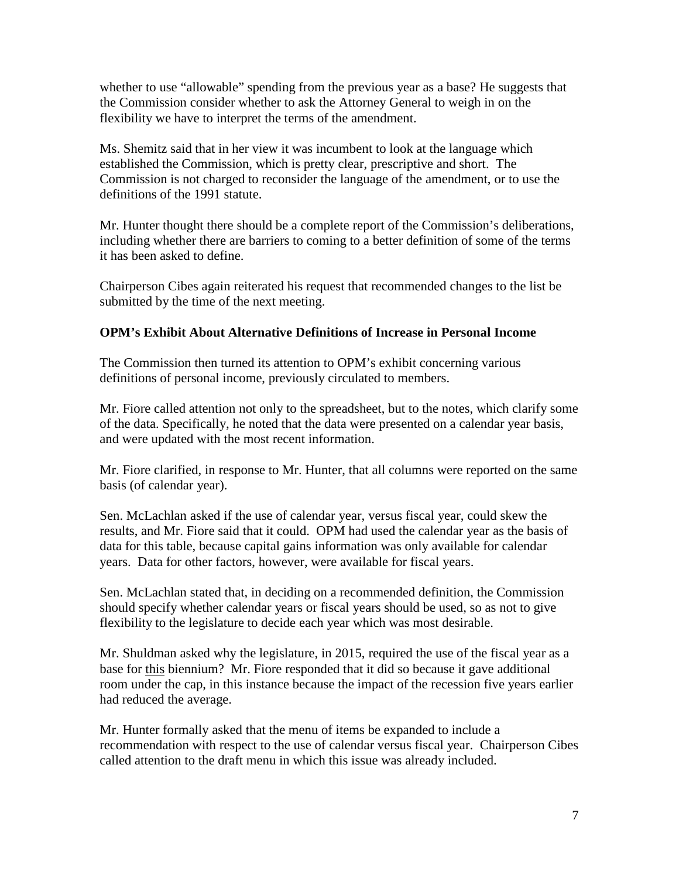whether to use "allowable" spending from the previous year as a base? He suggests that the Commission consider whether to ask the Attorney General to weigh in on the flexibility we have to interpret the terms of the amendment.

Ms. Shemitz said that in her view it was incumbent to look at the language which established the Commission, which is pretty clear, prescriptive and short. The Commission is not charged to reconsider the language of the amendment, or to use the definitions of the 1991 statute.

Mr. Hunter thought there should be a complete report of the Commission's deliberations, including whether there are barriers to coming to a better definition of some of the terms it has been asked to define.

Chairperson Cibes again reiterated his request that recommended changes to the list be submitted by the time of the next meeting.

# **OPM's Exhibit About Alternative Definitions of Increase in Personal Income**

The Commission then turned its attention to OPM's exhibit concerning various definitions of personal income, previously circulated to members.

Mr. Fiore called attention not only to the spreadsheet, but to the notes, which clarify some of the data. Specifically, he noted that the data were presented on a calendar year basis, and were updated with the most recent information.

Mr. Fiore clarified, in response to Mr. Hunter, that all columns were reported on the same basis (of calendar year).

Sen. McLachlan asked if the use of calendar year, versus fiscal year, could skew the results, and Mr. Fiore said that it could. OPM had used the calendar year as the basis of data for this table, because capital gains information was only available for calendar years. Data for other factors, however, were available for fiscal years.

Sen. McLachlan stated that, in deciding on a recommended definition, the Commission should specify whether calendar years or fiscal years should be used, so as not to give flexibility to the legislature to decide each year which was most desirable.

Mr. Shuldman asked why the legislature, in 2015, required the use of the fiscal year as a base for this biennium? Mr. Fiore responded that it did so because it gave additional room under the cap, in this instance because the impact of the recession five years earlier had reduced the average.

Mr. Hunter formally asked that the menu of items be expanded to include a recommendation with respect to the use of calendar versus fiscal year. Chairperson Cibes called attention to the draft menu in which this issue was already included.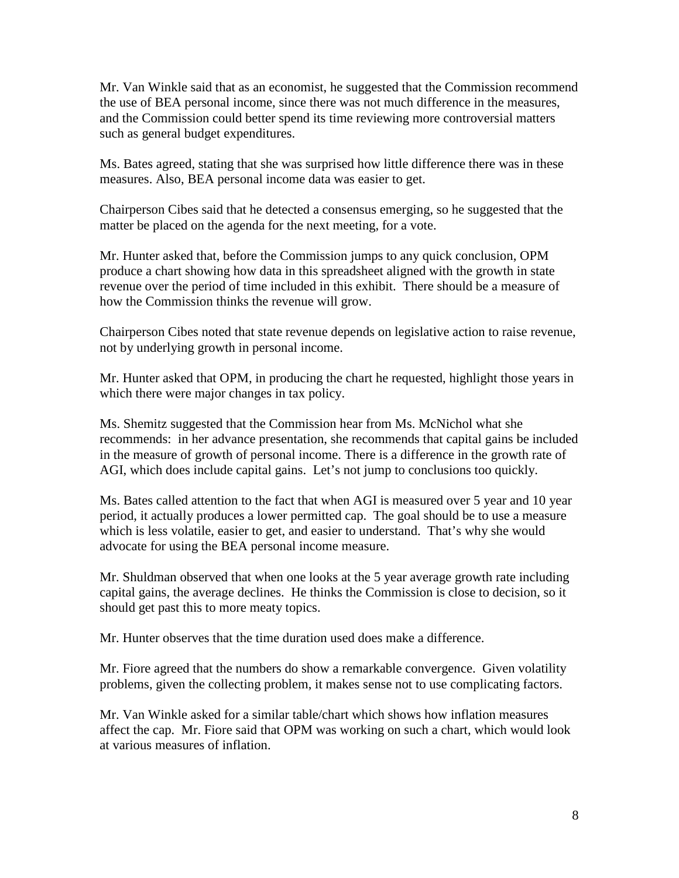Mr. Van Winkle said that as an economist, he suggested that the Commission recommend the use of BEA personal income, since there was not much difference in the measures, and the Commission could better spend its time reviewing more controversial matters such as general budget expenditures.

Ms. Bates agreed, stating that she was surprised how little difference there was in these measures. Also, BEA personal income data was easier to get.

Chairperson Cibes said that he detected a consensus emerging, so he suggested that the matter be placed on the agenda for the next meeting, for a vote.

Mr. Hunter asked that, before the Commission jumps to any quick conclusion, OPM produce a chart showing how data in this spreadsheet aligned with the growth in state revenue over the period of time included in this exhibit. There should be a measure of how the Commission thinks the revenue will grow.

Chairperson Cibes noted that state revenue depends on legislative action to raise revenue, not by underlying growth in personal income.

Mr. Hunter asked that OPM, in producing the chart he requested, highlight those years in which there were major changes in tax policy.

Ms. Shemitz suggested that the Commission hear from Ms. McNichol what she recommends: in her advance presentation, she recommends that capital gains be included in the measure of growth of personal income. There is a difference in the growth rate of AGI, which does include capital gains. Let's not jump to conclusions too quickly.

Ms. Bates called attention to the fact that when AGI is measured over 5 year and 10 year period, it actually produces a lower permitted cap. The goal should be to use a measure which is less volatile, easier to get, and easier to understand. That's why she would advocate for using the BEA personal income measure.

Mr. Shuldman observed that when one looks at the 5 year average growth rate including capital gains, the average declines. He thinks the Commission is close to decision, so it should get past this to more meaty topics.

Mr. Hunter observes that the time duration used does make a difference.

Mr. Fiore agreed that the numbers do show a remarkable convergence. Given volatility problems, given the collecting problem, it makes sense not to use complicating factors.

Mr. Van Winkle asked for a similar table/chart which shows how inflation measures affect the cap. Mr. Fiore said that OPM was working on such a chart, which would look at various measures of inflation.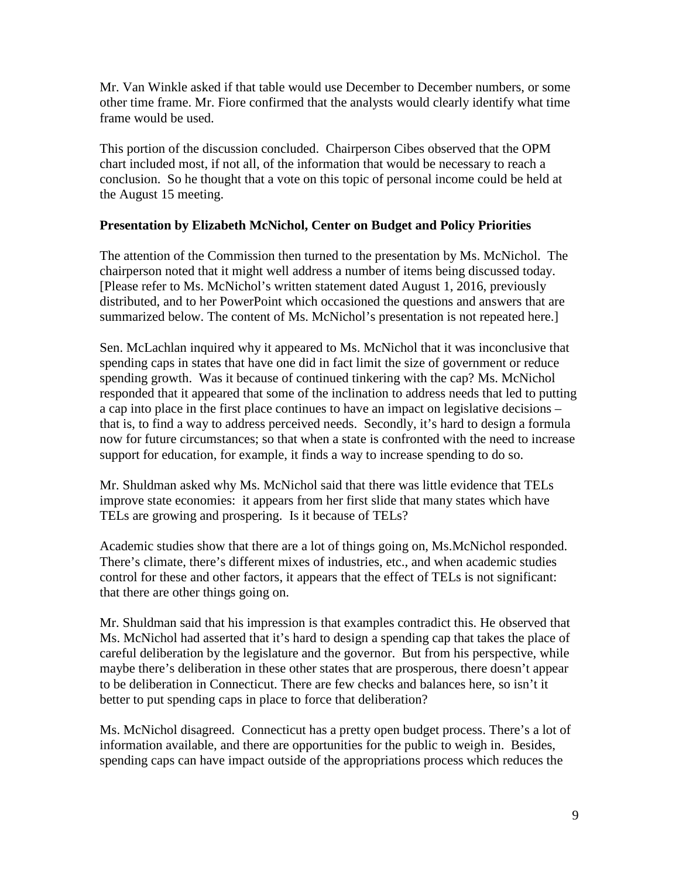Mr. Van Winkle asked if that table would use December to December numbers, or some other time frame. Mr. Fiore confirmed that the analysts would clearly identify what time frame would be used.

This portion of the discussion concluded. Chairperson Cibes observed that the OPM chart included most, if not all, of the information that would be necessary to reach a conclusion. So he thought that a vote on this topic of personal income could be held at the August 15 meeting.

# **Presentation by Elizabeth McNichol, Center on Budget and Policy Priorities**

The attention of the Commission then turned to the presentation by Ms. McNichol. The chairperson noted that it might well address a number of items being discussed today. [Please refer to Ms. McNichol's written statement dated August 1, 2016, previously distributed, and to her PowerPoint which occasioned the questions and answers that are summarized below. The content of Ms. McNichol's presentation is not repeated here.]

Sen. McLachlan inquired why it appeared to Ms. McNichol that it was inconclusive that spending caps in states that have one did in fact limit the size of government or reduce spending growth. Was it because of continued tinkering with the cap? Ms. McNichol responded that it appeared that some of the inclination to address needs that led to putting a cap into place in the first place continues to have an impact on legislative decisions – that is, to find a way to address perceived needs. Secondly, it's hard to design a formula now for future circumstances; so that when a state is confronted with the need to increase support for education, for example, it finds a way to increase spending to do so.

Mr. Shuldman asked why Ms. McNichol said that there was little evidence that TELs improve state economies: it appears from her first slide that many states which have TELs are growing and prospering. Is it because of TELs?

Academic studies show that there are a lot of things going on, Ms.McNichol responded. There's climate, there's different mixes of industries, etc., and when academic studies control for these and other factors, it appears that the effect of TELs is not significant: that there are other things going on.

Mr. Shuldman said that his impression is that examples contradict this. He observed that Ms. McNichol had asserted that it's hard to design a spending cap that takes the place of careful deliberation by the legislature and the governor. But from his perspective, while maybe there's deliberation in these other states that are prosperous, there doesn't appear to be deliberation in Connecticut. There are few checks and balances here, so isn't it better to put spending caps in place to force that deliberation?

Ms. McNichol disagreed. Connecticut has a pretty open budget process. There's a lot of information available, and there are opportunities for the public to weigh in. Besides, spending caps can have impact outside of the appropriations process which reduces the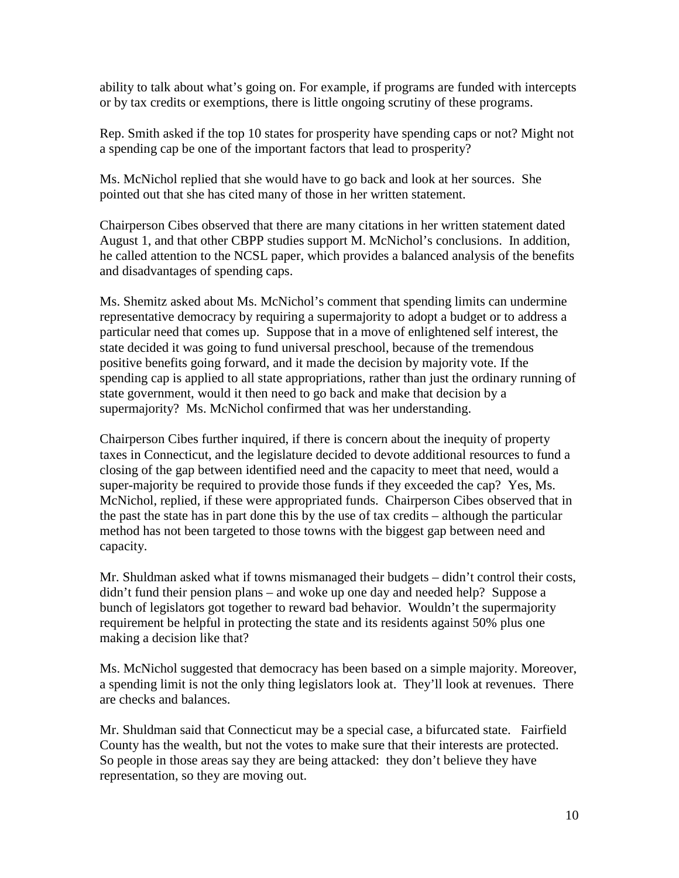ability to talk about what's going on. For example, if programs are funded with intercepts or by tax credits or exemptions, there is little ongoing scrutiny of these programs.

Rep. Smith asked if the top 10 states for prosperity have spending caps or not? Might not a spending cap be one of the important factors that lead to prosperity?

Ms. McNichol replied that she would have to go back and look at her sources. She pointed out that she has cited many of those in her written statement.

Chairperson Cibes observed that there are many citations in her written statement dated August 1, and that other CBPP studies support M. McNichol's conclusions. In addition, he called attention to the NCSL paper, which provides a balanced analysis of the benefits and disadvantages of spending caps.

Ms. Shemitz asked about Ms. McNichol's comment that spending limits can undermine representative democracy by requiring a supermajority to adopt a budget or to address a particular need that comes up. Suppose that in a move of enlightened self interest, the state decided it was going to fund universal preschool, because of the tremendous positive benefits going forward, and it made the decision by majority vote. If the spending cap is applied to all state appropriations, rather than just the ordinary running of state government, would it then need to go back and make that decision by a supermajority? Ms. McNichol confirmed that was her understanding.

Chairperson Cibes further inquired, if there is concern about the inequity of property taxes in Connecticut, and the legislature decided to devote additional resources to fund a closing of the gap between identified need and the capacity to meet that need, would a super-majority be required to provide those funds if they exceeded the cap? Yes, Ms. McNichol, replied, if these were appropriated funds. Chairperson Cibes observed that in the past the state has in part done this by the use of tax credits – although the particular method has not been targeted to those towns with the biggest gap between need and capacity.

Mr. Shuldman asked what if towns mismanaged their budgets – didn't control their costs, didn't fund their pension plans – and woke up one day and needed help? Suppose a bunch of legislators got together to reward bad behavior. Wouldn't the supermajority requirement be helpful in protecting the state and its residents against 50% plus one making a decision like that?

Ms. McNichol suggested that democracy has been based on a simple majority. Moreover, a spending limit is not the only thing legislators look at. They'll look at revenues. There are checks and balances.

Mr. Shuldman said that Connecticut may be a special case, a bifurcated state. Fairfield County has the wealth, but not the votes to make sure that their interests are protected. So people in those areas say they are being attacked: they don't believe they have representation, so they are moving out.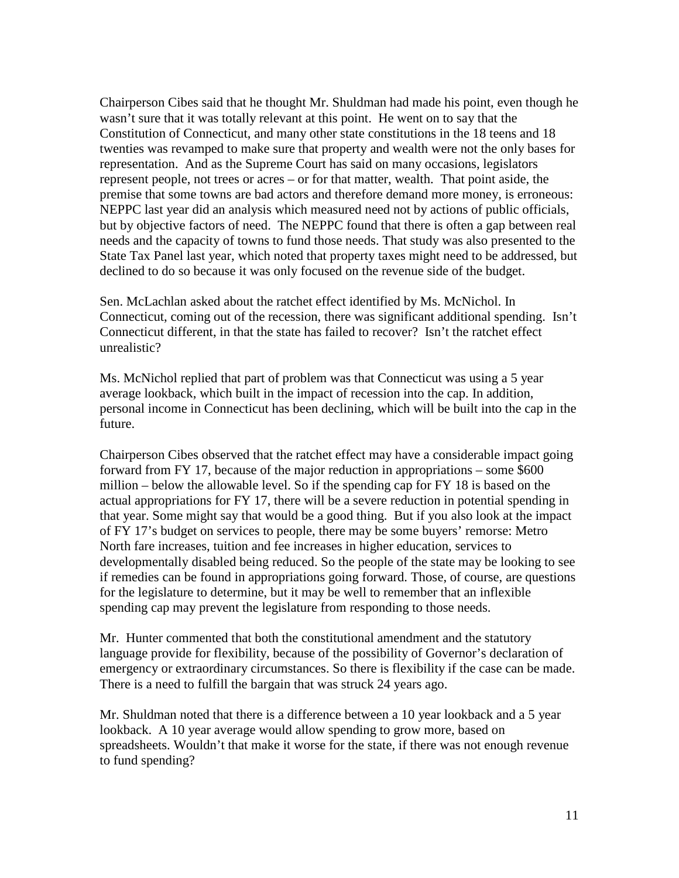Chairperson Cibes said that he thought Mr. Shuldman had made his point, even though he wasn't sure that it was totally relevant at this point. He went on to say that the Constitution of Connecticut, and many other state constitutions in the 18 teens and 18 twenties was revamped to make sure that property and wealth were not the only bases for representation. And as the Supreme Court has said on many occasions, legislators represent people, not trees or acres – or for that matter, wealth. That point aside, the premise that some towns are bad actors and therefore demand more money, is erroneous: NEPPC last year did an analysis which measured need not by actions of public officials, but by objective factors of need. The NEPPC found that there is often a gap between real needs and the capacity of towns to fund those needs. That study was also presented to the State Tax Panel last year, which noted that property taxes might need to be addressed, but declined to do so because it was only focused on the revenue side of the budget.

Sen. McLachlan asked about the ratchet effect identified by Ms. McNichol. In Connecticut, coming out of the recession, there was significant additional spending. Isn't Connecticut different, in that the state has failed to recover? Isn't the ratchet effect unrealistic?

Ms. McNichol replied that part of problem was that Connecticut was using a 5 year average lookback, which built in the impact of recession into the cap. In addition, personal income in Connecticut has been declining, which will be built into the cap in the future.

Chairperson Cibes observed that the ratchet effect may have a considerable impact going forward from FY 17, because of the major reduction in appropriations – some \$600 million – below the allowable level. So if the spending cap for FY 18 is based on the actual appropriations for FY 17, there will be a severe reduction in potential spending in that year. Some might say that would be a good thing. But if you also look at the impact of FY 17's budget on services to people, there may be some buyers' remorse: Metro North fare increases, tuition and fee increases in higher education, services to developmentally disabled being reduced. So the people of the state may be looking to see if remedies can be found in appropriations going forward. Those, of course, are questions for the legislature to determine, but it may be well to remember that an inflexible spending cap may prevent the legislature from responding to those needs.

Mr. Hunter commented that both the constitutional amendment and the statutory language provide for flexibility, because of the possibility of Governor's declaration of emergency or extraordinary circumstances. So there is flexibility if the case can be made. There is a need to fulfill the bargain that was struck 24 years ago.

Mr. Shuldman noted that there is a difference between a 10 year lookback and a 5 year lookback. A 10 year average would allow spending to grow more, based on spreadsheets. Wouldn't that make it worse for the state, if there was not enough revenue to fund spending?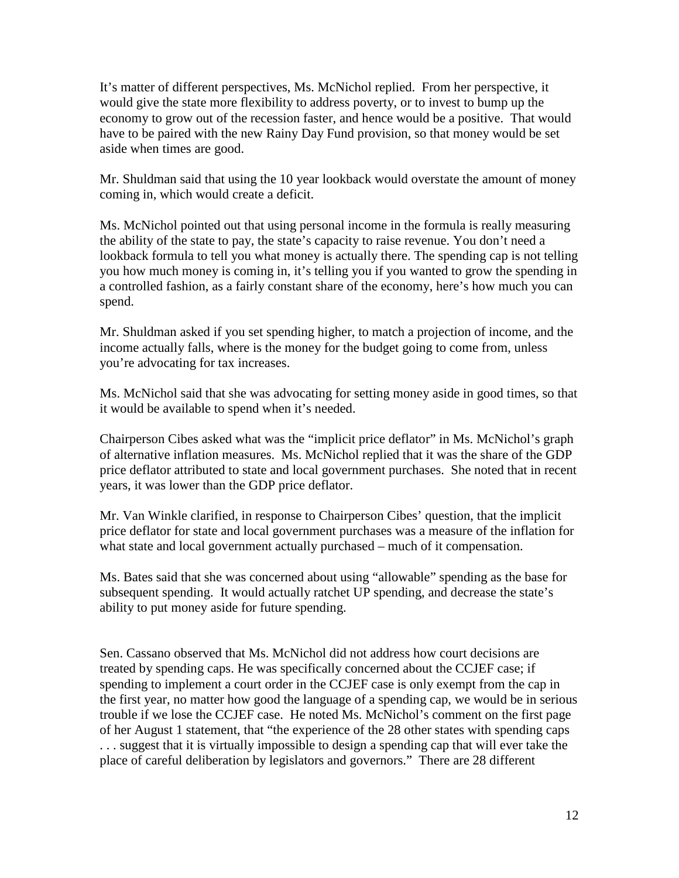It's matter of different perspectives, Ms. McNichol replied. From her perspective, it would give the state more flexibility to address poverty, or to invest to bump up the economy to grow out of the recession faster, and hence would be a positive. That would have to be paired with the new Rainy Day Fund provision, so that money would be set aside when times are good.

Mr. Shuldman said that using the 10 year lookback would overstate the amount of money coming in, which would create a deficit.

Ms. McNichol pointed out that using personal income in the formula is really measuring the ability of the state to pay, the state's capacity to raise revenue. You don't need a lookback formula to tell you what money is actually there. The spending cap is not telling you how much money is coming in, it's telling you if you wanted to grow the spending in a controlled fashion, as a fairly constant share of the economy, here's how much you can spend.

Mr. Shuldman asked if you set spending higher, to match a projection of income, and the income actually falls, where is the money for the budget going to come from, unless you're advocating for tax increases.

Ms. McNichol said that she was advocating for setting money aside in good times, so that it would be available to spend when it's needed.

Chairperson Cibes asked what was the "implicit price deflator" in Ms. McNichol's graph of alternative inflation measures. Ms. McNichol replied that it was the share of the GDP price deflator attributed to state and local government purchases. She noted that in recent years, it was lower than the GDP price deflator.

Mr. Van Winkle clarified, in response to Chairperson Cibes' question, that the implicit price deflator for state and local government purchases was a measure of the inflation for what state and local government actually purchased – much of it compensation.

Ms. Bates said that she was concerned about using "allowable" spending as the base for subsequent spending. It would actually ratchet UP spending, and decrease the state's ability to put money aside for future spending.

Sen. Cassano observed that Ms. McNichol did not address how court decisions are treated by spending caps. He was specifically concerned about the CCJEF case; if spending to implement a court order in the CCJEF case is only exempt from the cap in the first year, no matter how good the language of a spending cap, we would be in serious trouble if we lose the CCJEF case. He noted Ms. McNichol's comment on the first page of her August 1 statement, that "the experience of the 28 other states with spending caps . . . suggest that it is virtually impossible to design a spending cap that will ever take the place of careful deliberation by legislators and governors." There are 28 different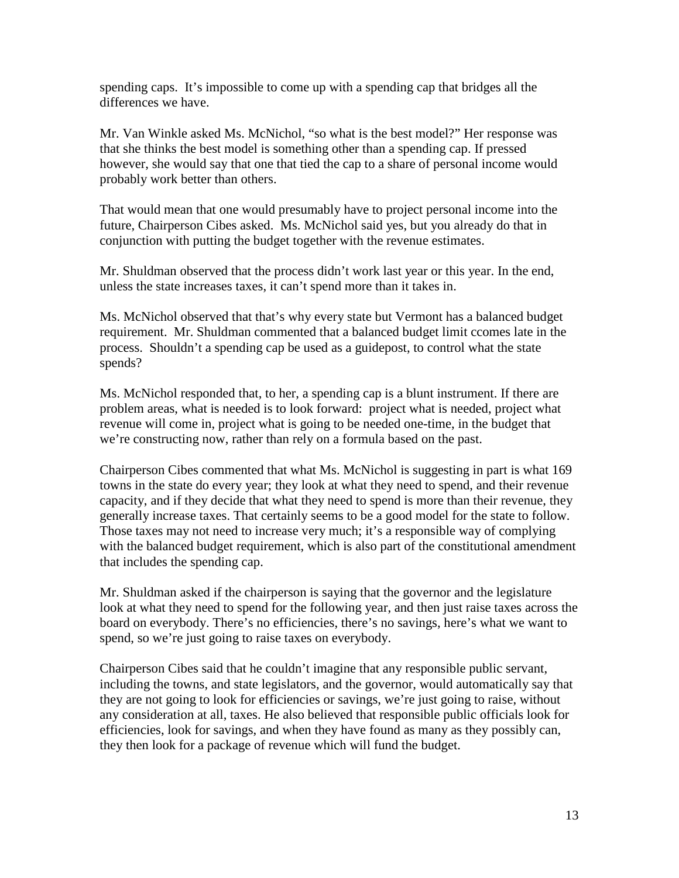spending caps. It's impossible to come up with a spending cap that bridges all the differences we have.

Mr. Van Winkle asked Ms. McNichol, "so what is the best model?" Her response was that she thinks the best model is something other than a spending cap. If pressed however, she would say that one that tied the cap to a share of personal income would probably work better than others.

That would mean that one would presumably have to project personal income into the future, Chairperson Cibes asked. Ms. McNichol said yes, but you already do that in conjunction with putting the budget together with the revenue estimates.

Mr. Shuldman observed that the process didn't work last year or this year. In the end, unless the state increases taxes, it can't spend more than it takes in.

Ms. McNichol observed that that's why every state but Vermont has a balanced budget requirement. Mr. Shuldman commented that a balanced budget limit ccomes late in the process. Shouldn't a spending cap be used as a guidepost, to control what the state spends?

Ms. McNichol responded that, to her, a spending cap is a blunt instrument. If there are problem areas, what is needed is to look forward: project what is needed, project what revenue will come in, project what is going to be needed one-time, in the budget that we're constructing now, rather than rely on a formula based on the past.

Chairperson Cibes commented that what Ms. McNichol is suggesting in part is what 169 towns in the state do every year; they look at what they need to spend, and their revenue capacity, and if they decide that what they need to spend is more than their revenue, they generally increase taxes. That certainly seems to be a good model for the state to follow. Those taxes may not need to increase very much; it's a responsible way of complying with the balanced budget requirement, which is also part of the constitutional amendment that includes the spending cap.

Mr. Shuldman asked if the chairperson is saying that the governor and the legislature look at what they need to spend for the following year, and then just raise taxes across the board on everybody. There's no efficiencies, there's no savings, here's what we want to spend, so we're just going to raise taxes on everybody.

Chairperson Cibes said that he couldn't imagine that any responsible public servant, including the towns, and state legislators, and the governor, would automatically say that they are not going to look for efficiencies or savings, we're just going to raise, without any consideration at all, taxes. He also believed that responsible public officials look for efficiencies, look for savings, and when they have found as many as they possibly can, they then look for a package of revenue which will fund the budget.